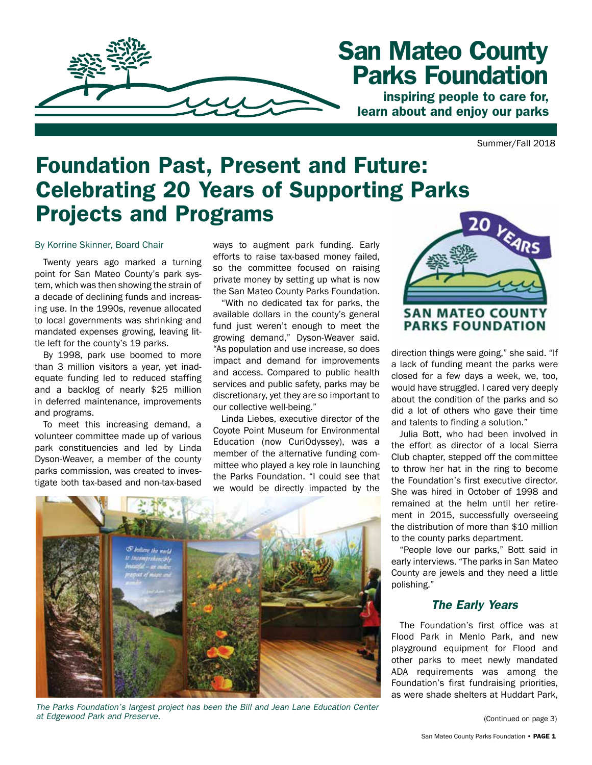

# San Mateo County Parks Foundation

inspiring people to care for, learn about and enjoy our parks

Summer/Fall 2018

# Foundation Past, Present and Future: Celebrating 20 Years of Supporting Parks Projects and Programs

#### By Korrine Skinner, Board Chair

Twenty years ago marked a turning point for San Mateo County's park system, which was then showing the strain of a decade of declining funds and increasing use. In the 1990s, revenue allocated to local governments was shrinking and mandated expenses growing, leaving little left for the county's 19 parks.

By 1998, park use boomed to more than 3 million visitors a year, yet inadequate funding led to reduced staffing and a backlog of nearly \$25 million in deferred maintenance, improvements and programs.

To meet this increasing demand, a volunteer committee made up of various park constituencies and led by Linda Dyson-Weaver, a member of the county parks commission, was created to investigate both tax-based and non-tax-based

ways to augment park funding. Early efforts to raise tax-based money failed, so the committee focused on raising private money by setting up what is now the San Mateo County Parks Foundation.

"With no dedicated tax for parks, the available dollars in the county's general fund just weren't enough to meet the growing demand," Dyson-Weaver said. "As population and use increase, so does impact and demand for improvements and access. Compared to public health services and public safety, parks may be discretionary, yet they are so important to our collective well-being."

Linda Liebes, executive director of the Coyote Point Museum for Environmental Education (now CuriOdyssey), was a member of the alternative funding committee who played a key role in launching the Parks Foundation. "I could see that we would be directly impacted by the



*The Parks Foundation's largest project has been the Bill and Jean Lane Education Center at Edgewood Park and Preserve.*



**PARKS FOUNDATION** 

direction things were going," she said. "If a lack of funding meant the parks were closed for a few days a week, we, too, would have struggled. I cared very deeply about the condition of the parks and so did a lot of others who gave their time and talents to finding a solution."

Julia Bott, who had been involved in the effort as director of a local Sierra Club chapter, stepped off the committee to throw her hat in the ring to become the Foundation's first executive director. She was hired in October of 1998 and remained at the helm until her retirement in 2015, successfully overseeing the distribution of more than \$10 million to the county parks department.

"People love our parks," Bott said in early interviews. "The parks in San Mateo County are jewels and they need a little polishing."

#### *The Early Years*

The Foundation's first office was at Flood Park in Menlo Park, and new playground equipment for Flood and other parks to meet newly mandated ADA requirements was among the Foundation's first fundraising priorities, as were shade shelters at Huddart Park,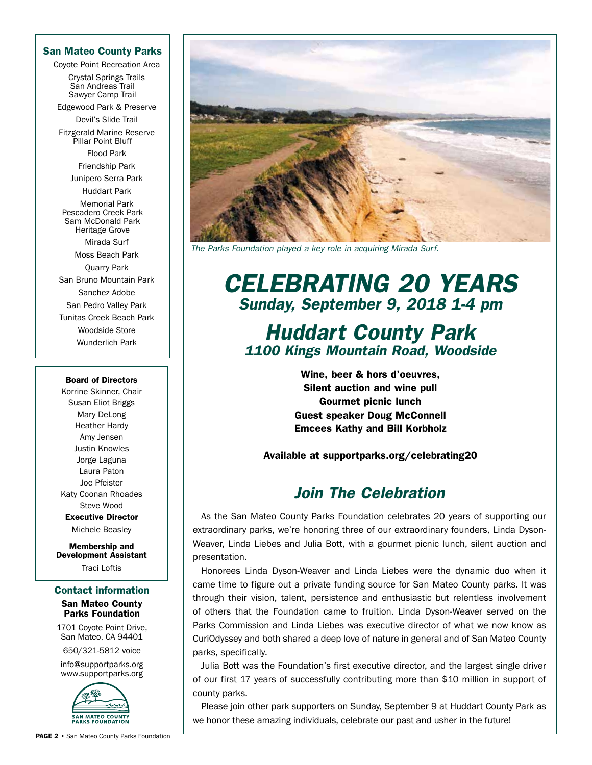#### San Mateo County Parks

Coyote Point Recreation Area

Crystal Springs Trails San Andreas Trail Sawyer Camp Trail

Edgewood Park & Preserve Devil's Slide Trail

Fitzgerald Marine Reserve Pillar Point Bluff

> Flood Park Friendship Park

Junipero Serra Park

Huddart Park

Memorial Park Pescadero Creek Park Sam McDonald Park Heritage Grove

Mirada Surf Moss Beach Park Quarry Park San Bruno Mountain Park Sanchez Adobe San Pedro Valley Park Tunitas Creek Beach Park Woodside Store Wunderlich Park

#### Board of Directors

Korrine Skinner, Chair Susan Eliot Briggs Mary DeLong Heather Hardy Amy Jensen Justin Knowles Jorge Laguna Laura Paton Joe Pfeister Katy Coonan Rhoades Steve Wood Executive Director Michele Beasley

Membership and Development Assistant Traci Loftis

#### Contact information

#### San Mateo County Parks Foundation

1701 Coyote Point Drive, San Mateo, CA 94401

650/321-5812 voice

info@supportparks.org www.supportparks.org



*The Parks Foundation played a key role in acquiring Mirada Surf.*

## *CELEBRATING 20 YEARS Sunday, September 9, 2018 1-4 pm*

### *Huddart County Park 1100 Kings Mountain Road, Woodside*

Wine, beer & hors d'oeuvres, Silent auction and wine pull Gourmet picnic lunch Guest speaker Doug McConnell Emcees Kathy and Bill Korbholz

Available at supportparks.org/celebrating20

### *Join The Celebration*

As the San Mateo County Parks Foundation celebrates 20 years of supporting our extraordinary parks, we're honoring three of our extraordinary founders, Linda Dyson-Weaver, Linda Liebes and Julia Bott, with a gourmet picnic lunch, silent auction and presentation.

Honorees Linda Dyson-Weaver and Linda Liebes were the dynamic duo when it came time to figure out a private funding source for San Mateo County parks. It was through their vision, talent, persistence and enthusiastic but relentless involvement of others that the Foundation came to fruition. Linda Dyson-Weaver served on the Parks Commission and Linda Liebes was executive director of what we now know as CuriOdyssey and both shared a deep love of nature in general and of San Mateo County parks, specifically.

Julia Bott was the Foundation's first executive director, and the largest single driver of our first 17 years of successfully contributing more than \$10 million in support of county parks.

Please join other park supporters on Sunday, September 9 at Huddart County Park as we honor these amazing individuals, celebrate our past and usher in the future!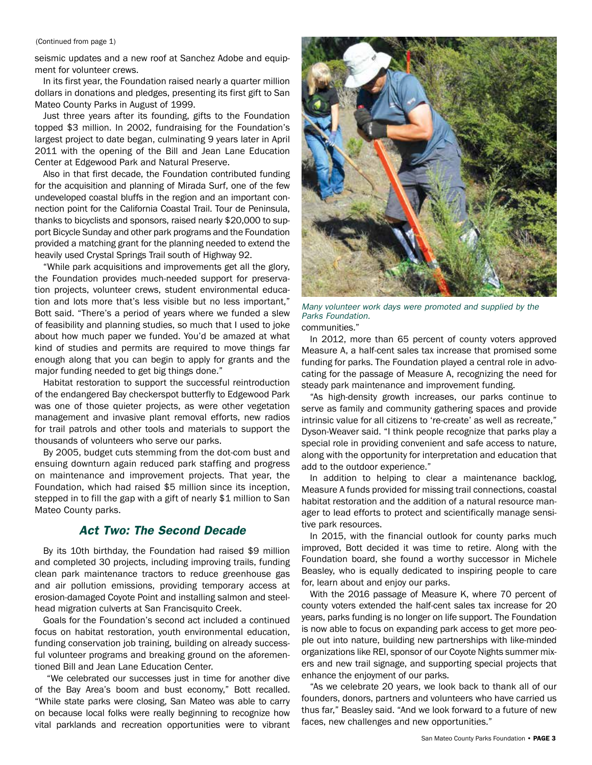#### (Continued from page 1)

seismic updates and a new roof at Sanchez Adobe and equipment for volunteer crews.

In its first year, the Foundation raised nearly a quarter million dollars in donations and pledges, presenting its first gift to San Mateo County Parks in August of 1999.

Just three years after its founding, gifts to the Foundation topped \$3 million. In 2002, fundraising for the Foundation's largest project to date began, culminating 9 years later in April 2011 with the opening of the Bill and Jean Lane Education Center at Edgewood Park and Natural Preserve.

Also in that first decade, the Foundation contributed funding for the acquisition and planning of Mirada Surf, one of the few undeveloped coastal bluffs in the region and an important connection point for the California Coastal Trail. Tour de Peninsula, thanks to bicyclists and sponsors, raised nearly \$20,000 to support Bicycle Sunday and other park programs and the Foundation provided a matching grant for the planning needed to extend the heavily used Crystal Springs Trail south of Highway 92.

"While park acquisitions and improvements get all the glory, the Foundation provides much-needed support for preservation projects, volunteer crews, student environmental education and lots more that's less visible but no less important," Bott said. "There's a period of years where we funded a slew of feasibility and planning studies, so much that I used to joke about how much paper we funded. You'd be amazed at what kind of studies and permits are required to move things far enough along that you can begin to apply for grants and the major funding needed to get big things done."

Habitat restoration to support the successful reintroduction of the endangered Bay checkerspot butterfly to Edgewood Park was one of those quieter projects, as were other vegetation management and invasive plant removal efforts, new radios for trail patrols and other tools and materials to support the thousands of volunteers who serve our parks.

By 2005, budget cuts stemming from the dot-com bust and ensuing downturn again reduced park staffing and progress on maintenance and improvement projects. That year, the Foundation, which had raised \$5 million since its inception, stepped in to fill the gap with a gift of nearly \$1 million to San Mateo County parks.

#### *Act Two: The Second Decade*

By its 10th birthday, the Foundation had raised \$9 million and completed 30 projects, including improving trails, funding clean park maintenance tractors to reduce greenhouse gas and air pollution emissions, providing temporary access at erosion-damaged Coyote Point and installing salmon and steelhead migration culverts at San Francisquito Creek.

Goals for the Foundation's second act included a continued focus on habitat restoration, youth environmental education, funding conservation job training, building on already successful volunteer programs and breaking ground on the aforementioned Bill and Jean Lane Education Center.

 "We celebrated our successes just in time for another dive of the Bay Area's boom and bust economy," Bott recalled. "While state parks were closing, San Mateo was able to carry on because local folks were really beginning to recognize how vital parklands and recreation opportunities were to vibrant



*Many volunteer work days were promoted and supplied by the Parks Foundation.*

communities."

In 2012, more than 65 percent of county voters approved Measure A, a half-cent sales tax increase that promised some funding for parks. The Foundation played a central role in advocating for the passage of Measure A, recognizing the need for steady park maintenance and improvement funding.

"As high-density growth increases, our parks continue to serve as family and community gathering spaces and provide intrinsic value for all citizens to 're-create' as well as recreate," Dyson-Weaver said. "I think people recognize that parks play a special role in providing convenient and safe access to nature, along with the opportunity for interpretation and education that add to the outdoor experience."

In addition to helping to clear a maintenance backlog, Measure A funds provided for missing trail connections, coastal habitat restoration and the addition of a natural resource manager to lead efforts to protect and scientifically manage sensitive park resources.

In 2015, with the financial outlook for county parks much improved, Bott decided it was time to retire. Along with the Foundation board, she found a worthy successor in Michele Beasley, who is equally dedicated to inspiring people to care for, learn about and enjoy our parks.

With the 2016 passage of Measure K, where 70 percent of county voters extended the half-cent sales tax increase for 20 years, parks funding is no longer on life support. The Foundation is now able to focus on expanding park access to get more people out into nature, building new partnerships with like-minded organizations like REI, sponsor of our Coyote Nights summer mixers and new trail signage, and supporting special projects that enhance the enjoyment of our parks.

"As we celebrate 20 years, we look back to thank all of our founders, donors, partners and volunteers who have carried us thus far," Beasley said. "And we look forward to a future of new faces, new challenges and new opportunities."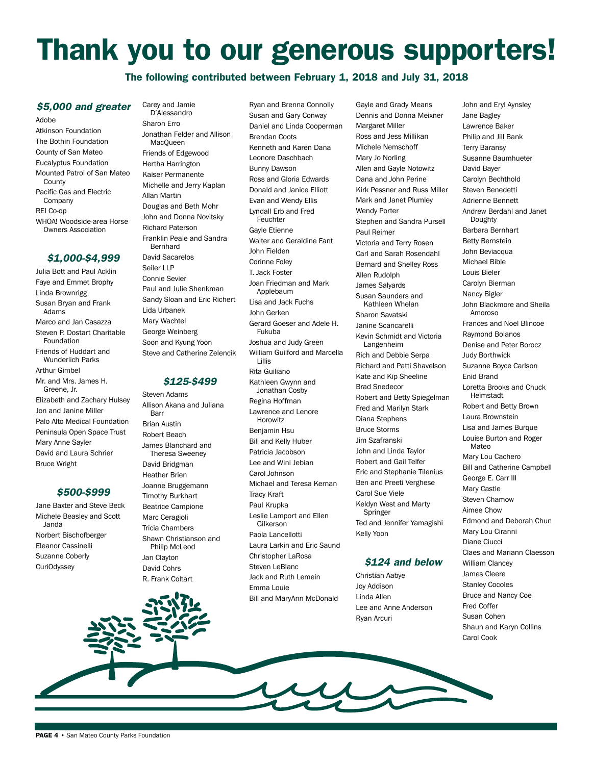# Thank you to our generous supporters!

#### The following contributed between February 1, 2018 and July 31, 2018

#### *\$5,000 and greater*

Adobe Atkinson Foundation The Bothin Foundation County of San Mateo Eucalyptus Foundation Mounted Patrol of San Mateo **County** Pacific Gas and Electric Company REI Co-op WHOA! Woodside-area Horse Owners Association

#### *\$1,000-\$4,999*

Julia Bott and Paul Acklin Faye and Emmet Brophy Linda Brownrigg Susan Bryan and Frank Adams Marco and Jan Casazza Steven P. Dostart Charitable Foundation Friends of Huddart and Wunderlich Parks Arthur Gimbel Mr. and Mrs. James H. Greene, Jr. Elizabeth and Zachary Hulsey Jon and Janine Miller Palo Alto Medical Foundation Peninsula Open Space Trust Mary Anne Sayler David and Laura Schrier Bruce Wright

#### *\$500-\$999*

Jane Baxter and Steve Beck Michele Beasley and Scott Janda Norbert Bischofberger Eleanor Cassinelli Suzanne Coberly CuriOdyssey

D'Alessandro Sharon Erro Jonathan Felder and Allison MacQueen Friends of Edgewood Hertha Harrington Kaiser Permanente Michelle and Jerry Kaplan Allan Martin Douglas and Beth Mohr John and Donna Novitsky Richard Paterson Franklin Peale and Sandra Bernhard David Sacarelos Seiler LLP Connie Sevier Paul and Julie Shenkman Sandy Sloan and Eric Richert Lida Urbanek Mary Wachtel George Weinberg Soon and Kyung Yoon

Carey and Jamie

#### *\$125-\$499*

Steve and Catherine Zelencik

Steven Adams Allison Akana and Juliana Barr Brian Austin Robert Beach James Blanchard and Theresa Sweeney David Bridgman Heather Brien Joanne Bruggemann Timothy Burkhart Beatrice Campione Marc Ceragioli Tricia Chambers Shawn Christianson and Philip McLeod Jan Clayton David Cohrs R. Frank Coltart

Ryan and Brenna Connolly Susan and Gary Conway Daniel and Linda Cooperman Brendan Coots Kenneth and Karen Dana Leonore Daschbach Bunny Dawson Ross and Gloria Edwards Donald and Janice Elliott Evan and Wendy Ellis Lyndall Erb and Fred Feuchter Gayle Etienne Walter and Geraldine Fant John Fielden Corinne Foley T. Jack Foster Joan Friedman and Mark Applebaum Lisa and Jack Fuchs John Gerken Gerard Goeser and Adele H. Fukuba Joshua and Judy Green William Guilford and Marcella Lillis Rita Guiliano Kathleen Gwynn and Jonathan Cosby Regina Hoffman Lawrence and Lenore Horowitz Benjamin Hsu Bill and Kelly Huber Patricia Jacobson Lee and Wini Jebian Carol Johnson Michael and Teresa Kernan Tracy Kraft Paul Krupka Leslie Lamport and Ellen Gilkerson Paola Lancellotti Laura Larkin and Eric Saund Christopher LaRosa Steven LeBlanc Jack and Ruth Lemein Emma Louie

Bill and MaryAnn McDonald

Gayle and Grady Means Dennis and Donna Meixner Margaret Miller Ross and Jess Millikan Michele Nemschoff Mary Jo Norling Allen and Gayle Notowitz Dana and John Perine Kirk Pessner and Russ Miller Mark and Janet Plumley Wendy Porter Stephen and Sandra Pursell Paul Reimer Victoria and Terry Rosen Carl and Sarah Rosendahl Bernard and Shelley Ross Allen Rudolph James Salyards Susan Saunders and Kathleen Whelan Sharon Savatski Janine Scancarelli Kevin Schmidt and Victoria Langenheim Rich and Debbie Serpa Richard and Patti Shavelson Kate and Kip Sheeline Brad Snedecor Robert and Betty Spiegelman Fred and Marilyn Stark Diana Stephens Bruce Storms Jim Szafranski John and Linda Taylor Robert and Gail Telfer Eric and Stephanie Tilenius Ben and Preeti Verghese Carol Sue Viele Keldyn West and Marty Springer Ted and Jennifer Yamagishi Kelly Yoon

#### *\$124 and below*

Christian Aabye Joy Addison Linda Allen Lee and Anne Anderson Ryan Arcuri

John and Eryl Aynsley Jane Bagley Lawrence Baker Philip and Jill Bank Terry Baransy Susanne Baumhueter David Bayer Carolyn Bechthold Steven Benedetti Adrienne Bennett Andrew Berdahl and Janet Doughty Barbara Bernhart Betty Bernstein John Beviacqua Michael Bible Louis Bieler Carolyn Bierman Nancy Bigler John Blackmore and Sheila Amoroso Frances and Noel Blincoe Raymond Bolanos Denise and Peter Borocz Judy Borthwick Suzanne Boyce Carlson Enid Brand Loretta Brooks and Chuck Heimstadt Robert and Betty Brown Laura Brownstein Lisa and James Burque Louise Burton and Roger Mateo Mary Lou Cachero Bill and Catherine Campbell George E. Carr III Mary Castle Steven Chamow Aimee Chow Edmond and Deborah Chun Mary Lou Ciranni Diane Ciucci Claes and Mariann Claesson William Clancey James Cleere Stanley Cocoles Bruce and Nancy Coe Fred Coffer Susan Cohen Shaun and Karyn Collins

Carol Cook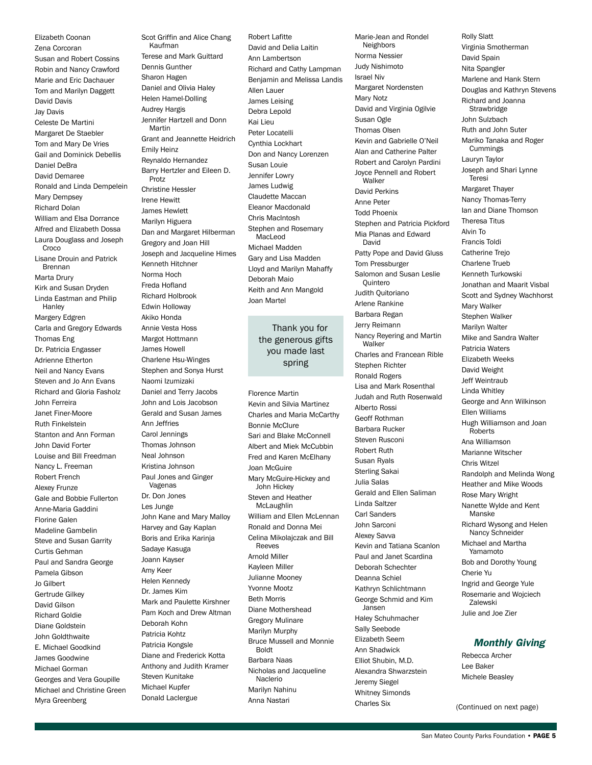Elizabeth Coonan Zena Corcoran Susan and Robert Cossins Robin and Nancy Crawford Marie and Eric Dachauer Tom and Marilyn Daggett David Davis Jay Davis Celeste De Martini Margaret De Staebler Tom and Mary De Vries Gail and Dominick Debellis Daniel DeBra David Demaree Ronald and Linda Dempelein Mary Dempsey Richard Dolan William and Elsa Dorrance Alfred and Elizabeth Dossa Laura Douglass and Joseph **Croco** Lisane Drouin and Patrick Brennan Marta Drury Kirk and Susan Dryden Linda Eastman and Philip **Hanley** Margery Edgren Carla and Gregory Edwards Thomas Eng Dr. Patricia Engasser Adrienne Etherton Neil and Nancy Evans Steven and Jo Ann Evans Richard and Gloria Fasholz John Ferreira Janet Finer-Moore Ruth Finkelstein Stanton and Ann Forman John David Forter Louise and Bill Freedman Nancy L. Freeman Robert French Alexey Frunze Gale and Bobbie Fullerton Anne-Maria Gaddini Florine Galen Madeline Gambelin Steve and Susan Garrity Curtis Gehman Paul and Sandra George Pamela Gibson Jo Gilbert Gertrude Gilkey David Gilson Richard Goldie Diane Goldstein John Goldthwaite E. Michael Goodkind James Goodwine Michael Gorman Georges and Vera Goupille Michael and Christine Green Myra Greenberg

Scot Griffin and Alice Chang Kaufman Terese and Mark Guittard Dennis Gunther Sharon Hagen Daniel and Olivia Haley Helen Hamel-Dolling Audrey Hargis Jennifer Hartzell and Donn Martin Grant and Jeannette Heidrich Emily Heinz Reynaldo Hernandez Barry Hertzler and Eileen D. Protz Christine Hessler Irene Hewitt James Hewlett Marilyn Higuera Dan and Margaret Hilberman Gregory and Joan Hill Joseph and Jacqueline Himes Kenneth Hitchner Norma Hoch Freda Hofland Richard Holbrook Edwin Holloway Akiko Honda Annie Vesta Hoss Margot Hottmann James Howell Charlene Hsu-Winges Stephen and Sonya Hurst Naomi Izumizaki Daniel and Terry Jacobs John and Lois Jacobson Gerald and Susan James Ann Jeffries Carol Jennings Thomas Johnson Neal Johnson Kristina Johnson Paul Jones and Ginger Vagenas Dr. Don Jones Les Junge John Kane and Mary Malloy Harvey and Gay Kaplan Boris and Erika Karinja Sadaye Kasuga Joann Kayser Amy Keer Helen Kennedy Dr. James Kim Mark and Paulette Kirshner Pam Koch and Drew Altman Deborah Kohn Patricia Kohtz Patricia Kongsle Diane and Frederick Kotta Anthony and Judith Kramer Steven Kunitake Michael Kupfer Donald Laclergue

Robert Lafitte David and Delia Laitin Ann Lambertson Richard and Cathy Lampman Benjamin and Melissa Landis Allen Lauer James Leising Debra Lepold Kai Lieu Peter Locatelli Cynthia Lockhart Don and Nancy Lorenzen Susan Louie Jennifer Lowry James Ludwig Claudette Maccan Eleanor Macdonald Chris MacIntosh Stephen and Rosemary MacLeod Michael Madden Gary and Lisa Madden Lloyd and Marilyn Mahaffy Deborah Maio Keith and Ann Mangold Joan Martel

#### Thank you for the generous gifts you made last spring

Florence Martin Kevin and Silvia Martinez Charles and Maria McCarthy Bonnie McClure Sari and Blake McConnell Albert and Miek McCubbin Fred and Karen McElhany Joan McGuire Mary McGuire-Hickey and John Hickey Steven and Heather **McLaughlin** William and Ellen McLennan Ronald and Donna Mei Celina Mikolajczak and Bill Reeves Arnold Miller Kayleen Miller Julianne Mooney Yvonne Mootz Beth Morris Diane Mothershead Gregory Mulinare Marilyn Murphy Bruce Mussell and Monnie Boldt Barbara Naas Nicholas and Jacqueline Naclerio Marilyn Nahinu Anna Nastari

Marie-Jean and Rondel Neighbors Norma Nessier Judy Nishimoto Israel Niv Margaret Nordensten Mary Notz David and Virginia Ogilvie Susan Ogle Thomas Olsen Kevin and Gabrielle O'Neil Alan and Catherine Palter Robert and Carolyn Pardini Joyce Pennell and Robert Walker David Perkins Anne Peter Todd Phoenix Stephen and Patricia Pickford Mia Planas and Edward David Patty Pope and David Gluss Tom Pressburger Salomon and Susan Leslie **Quintero** Judith Quitoriano Arlene Rankine Barbara Regan Jerry Reimann Nancy Reyering and Martin Walker Charles and Francean Rible Stephen Richter Ronald Rogers Lisa and Mark Rosenthal Judah and Ruth Rosenwald Alberto Rossi Geoff Rothman Barbara Rucker Steven Rusconi Robert Ruth Susan Ryals Sterling Sakai Julia Salas Gerald and Ellen Saliman Linda Saltzer Carl Sanders John Sarconi Alexey Savva Kevin and Tatiana Scanlon Paul and Janet Scardina Deborah Schechter Deanna Schiel Kathryn Schlichtmann George Schmid and Kim Jansen Haley Schuhmacher Sally Seebode Elizabeth Seem Ann Shadwick Elliot Shubin, M.D. Alexandra Shwarzstein Jeremy Siegel Whitney Simonds Charles Six

Virginia Smotherman David Spain Nita Spangler Marlene and Hank Stern Douglas and Kathryn Stevens Richard and Joanna **Strawbridge** John Sulzbach Ruth and John Suter Mariko Tanaka and Roger Cummings Lauryn Taylor Joseph and Shari Lynne Teresi Margaret Thayer Nancy Thomas-Terry Ian and Diane Thomson Theresa Titus Alvin To Francis Toldi Catherine Trejo Charlene Trueb Kenneth Turkowski Jonathan and Maarit Visbal Scott and Sydney Wachhorst Mary Walker Stephen Walker Marilyn Walter Mike and Sandra Walter Patricia Waters Elizabeth Weeks David Weight Jeff Weintraub Linda Whitley George and Ann Wilkinson Ellen Williams Hugh Williamson and Joan Roberts Ana Williamson Marianne Witscher Chris Witzel Randolph and Melinda Wong Heather and Mike Woods Rose Mary Wright Nanette Wylde and Kent Manske Richard Wysong and Helen Nancy Schneider Michael and Martha Yamamoto Bob and Dorothy Young Cherie Yu Ingrid and George Yule Rosemarie and Wojciech Zalewski Julie and Joe Zier

Rolly Slatt

#### *Monthly Giving*

Rebecca Archer Lee Baker Michele Beasley

(Continued on next page)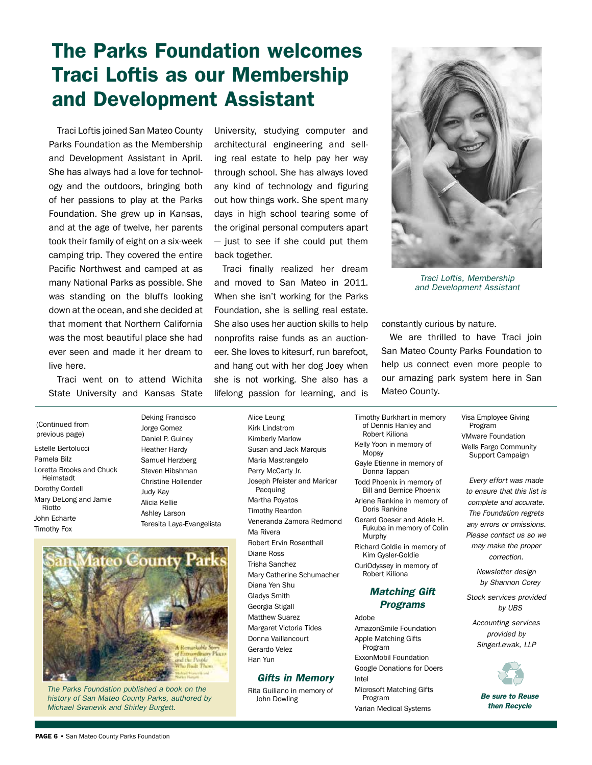## The Parks Foundation welcomes Traci Loftis as our Membership and Development Assistant

Traci Loftis joined San Mateo County Parks Foundation as the Membership and Development Assistant in April. She has always had a love for technology and the outdoors, bringing both of her passions to play at the Parks Foundation. She grew up in Kansas, and at the age of twelve, her parents took their family of eight on a six-week camping trip. They covered the entire Pacific Northwest and camped at as many National Parks as possible. She was standing on the bluffs looking down at the ocean, and she decided at that moment that Northern California was the most beautiful place she had ever seen and made it her dream to live here.

Traci went on to attend Wichita State University and Kansas State

Estelle Bertolucci Pamela Bilz Loretta Brooks and Chuck Heimstadt Dorothy Cordell Mary DeLong and Jamie Riotto John Echarte Timothy Fox (Continued from previous page)

Jorge Gomez Daniel P. Guiney Heather Hardy Samuel Herzberg Steven Hibshman Christine Hollender Judy Kay Alicia Kellie Ashley Larson Teresita Laya-Evangelista

County dinary Places Built Them

*The Parks Foundation published a book on the history of San Mateo County Parks, authored by Michael Svanevik and Shirley Burgett.*

University, studying computer and architectural engineering and selling real estate to help pay her way through school. She has always loved any kind of technology and figuring out how things work. She spent many days in high school tearing some of the original personal computers apart — just to see if she could put them back together.

Traci finally realized her dream and moved to San Mateo in 2011. When she isn't working for the Parks Foundation, she is selling real estate. She also uses her auction skills to help nonprofits raise funds as an auctioneer. She loves to kitesurf, run barefoot, and hang out with her dog Joey when she is not working. She also has a lifelong passion for learning, and is



*Traci Loftis, Membership and Development Assistant*

constantly curious by nature.

We are thrilled to have Traci join San Mateo County Parks Foundation to help us connect even more people to our amazing park system here in San Mateo County.

Susan and Jack Marquis Veneranda Zamora Redmond Mary Catherine Schumacher Timothy Burkhart in memory of Dennis Hanley and Robert Kiliona Kelly Yoon in memory of Mopsy Gayle Etienne in memory of Donna Tappan Todd Phoenix in memory of Bill and Bernice Phoenix Arlene Rankine in memory of Doris Rankine Gerard Goeser and Adele H. Fukuba in memory of Colin Murphy Richard Goldie in memory of Kim Gysler-Goldie CuriOdyssey in memory of Robert Kiliona *Matching Gift Programs* Adobe AmazonSmile Foundation

Apple Matching Gifts Program ExxonMobil Foundation

Google Donations for Doers Intel

Microsoft Matching Gifts Program Varian Medical Systems

Visa Employee Giving Program VMware Foundation Wells Fargo Community Support Campaign

*Every effort was made to ensure that this list is complete and accurate. The Foundation regrets any errors or omissions. Please contact us so we may make the proper correction.*

> *Newsletter design by Shannon Corey*

*Stock services provided by UBS*

*Accounting services provided by SingerLewak, LLP*



*Be sure to Reuse then Recycle*

Deking Francisco Alice Leung Kirk Lindstrom Kimberly Marlow Maria Mastrangelo

Perry McCarty Jr. Joseph Pfeister and Maricar Pacquing Martha Poyatos Timothy Reardon Ma Rivera Robert Ervin Rosenthall Diane Ross Trisha Sanchez Diana Yen Shu

Gladys Smith Georgia Stigall Matthew Suarez Margaret Victoria Tides Donna Vaillancourt Gerardo Velez Han Yun

#### *Gifts in Memory*

Rita Guiliano in memory of John Dowling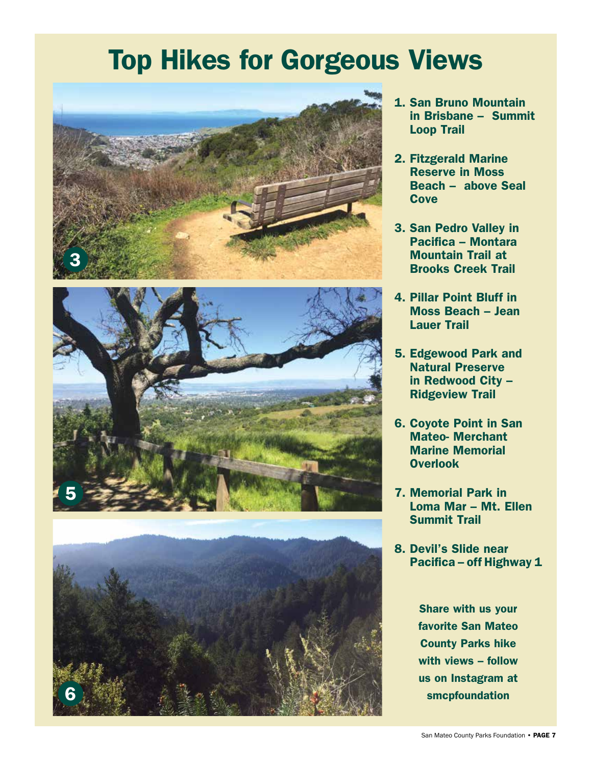# Top Hikes for Gorgeous Views





- 1. San Bruno Mountain in Brisbane – Summit Loop Trail
- 2. Fitzgerald Marine Reserve in Moss Beach – above Seal **Cove**
- 3. San Pedro Valley in Pacifica – Montara Mountain Trail at Brooks Creek Trail
- 4. Pillar Point Bluff in Moss Beach – Jean Lauer Trail
- 5. Edgewood Park and Natural Preserve in Redwood City – Ridgeview Trail
- 6. Coyote Point in San Mateo- Merchant Marine Memorial Overlook
- 7. Memorial Park in Loma Mar – Mt. Ellen Summit Trail
- 8. Devil's Slide near Pacifica – off Highway 1

Share with us your favorite San Mateo County Parks hike with views – follow us on Instagram at smcpfoundation